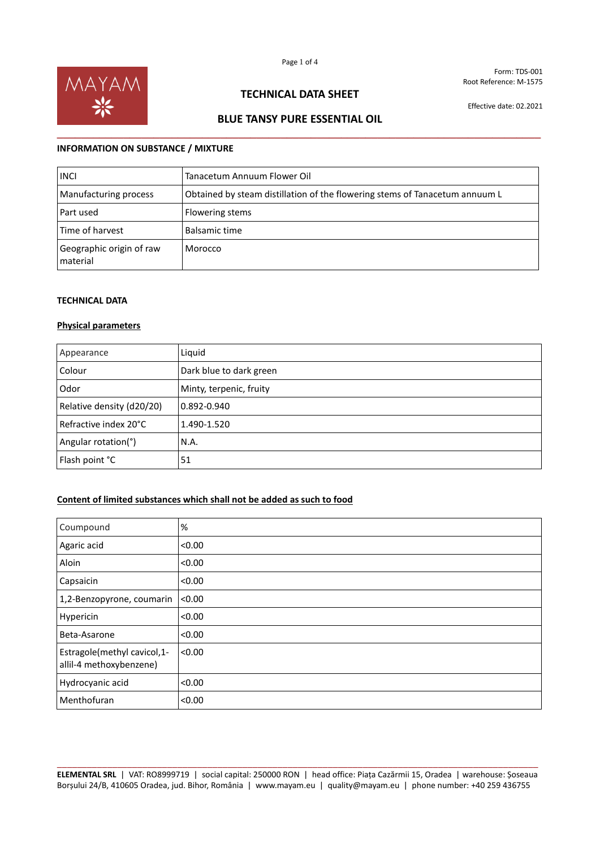

## **TECHNICAL DATA SHEET**

Effective date: 02.2021

# **BLUE TANSY PURE ESSENTIAL OIL \_\_\_\_\_\_\_\_\_\_\_\_\_\_\_\_\_\_\_\_\_\_\_\_\_\_\_\_\_\_\_\_\_\_\_\_\_\_\_\_\_\_\_\_\_\_\_\_\_\_\_\_\_\_\_\_\_\_\_\_\_\_\_\_\_\_\_\_\_\_\_\_\_\_\_\_\_\_\_\_**

## **INFORMATION ON SUBSTANCE / MIXTURE**

| <b>INCI</b>                          | Tanacetum Annuum Flower Oil                                                 |
|--------------------------------------|-----------------------------------------------------------------------------|
| Manufacturing process                | Obtained by steam distillation of the flowering stems of Tanacetum annuum L |
| Part used                            | Flowering stems                                                             |
| Time of harvest                      | Balsamic time                                                               |
| Geographic origin of raw<br>material | Morocco                                                                     |

## **TECHNICAL DATA**

#### **Physical parameters**

| Appearance                | Liquid                  |
|---------------------------|-------------------------|
| Colour                    | Dark blue to dark green |
| Odor                      | Minty, terpenic, fruity |
| Relative density (d20/20) | 0.892-0.940             |
| Refractive index 20°C     | 1.490-1.520             |
| Angular rotation(°)       | N.A.                    |
| Flash point °C            | 51                      |

## **Content of limited substances which shall not be added as such to food**

| Coumpound                                              | %      |
|--------------------------------------------------------|--------|
| Agaric acid                                            | < 0.00 |
| Aloin                                                  | < 0.00 |
| Capsaicin                                              | < 0.00 |
| 1,2-Benzopyrone, coumarin                              | < 0.00 |
| Hypericin                                              | < 0.00 |
| Beta-Asarone                                           | < 0.00 |
| Estragole(methyl cavicol,1-<br>allil-4 methoxybenzene) | < 0.00 |
| Hydrocyanic acid                                       | < 0.00 |
| Menthofuran                                            | < 0.00 |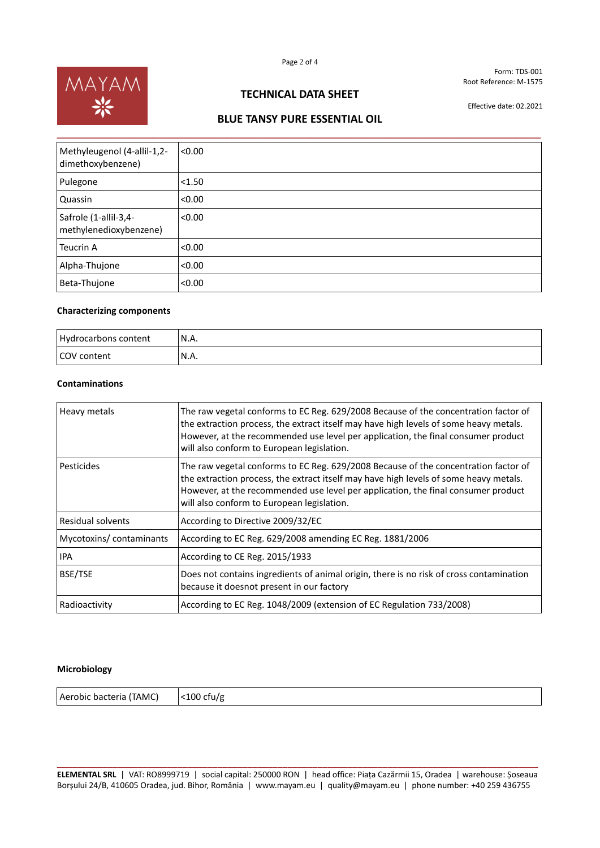

# **TECHNICAL DATA SHEET**

Effective date: 02.2021

# **BLUE TANSY PURE ESSENTIAL OIL**

| Methyleugenol (4-allil-1,2-<br>dimethoxybenzene) | < 0.00 |
|--------------------------------------------------|--------|
| Pulegone                                         | < 1.50 |
| Quassin                                          | < 0.00 |
| Safrole (1-allil-3,4-<br>methylenedioxybenzene)  | < 0.00 |
| Teucrin A                                        | < 0.00 |
| Alpha-Thujone                                    | < 0.00 |
| Beta-Thujone                                     | < 0.00 |

#### **Characterizing components**

| Hydrocarbons content | N.A. |
|----------------------|------|
| COV content          | N.A. |

### **Contaminations**

| Heavy metals             | The raw vegetal conforms to EC Reg. 629/2008 Because of the concentration factor of<br>the extraction process, the extract itself may have high levels of some heavy metals.<br>However, at the recommended use level per application, the final consumer product<br>will also conform to European legislation. |
|--------------------------|-----------------------------------------------------------------------------------------------------------------------------------------------------------------------------------------------------------------------------------------------------------------------------------------------------------------|
| Pesticides               | The raw vegetal conforms to EC Reg. 629/2008 Because of the concentration factor of<br>the extraction process, the extract itself may have high levels of some heavy metals.<br>However, at the recommended use level per application, the final consumer product<br>will also conform to European legislation. |
| <b>Residual solvents</b> | According to Directive 2009/32/EC                                                                                                                                                                                                                                                                               |
| Mycotoxins/contaminants  | According to EC Reg. 629/2008 amending EC Reg. 1881/2006                                                                                                                                                                                                                                                        |
| <b>IPA</b>               | According to CE Reg. 2015/1933                                                                                                                                                                                                                                                                                  |
| BSE/TSE                  | Does not contains ingredients of animal origin, there is no risk of cross contamination<br>because it doesnot present in our factory                                                                                                                                                                            |
| Radioactivity            | According to EC Reg. 1048/2009 (extension of EC Regulation 733/2008)                                                                                                                                                                                                                                            |

#### **Microbiology**

Aerobic bacteria (TAMC) | <100 cfu/g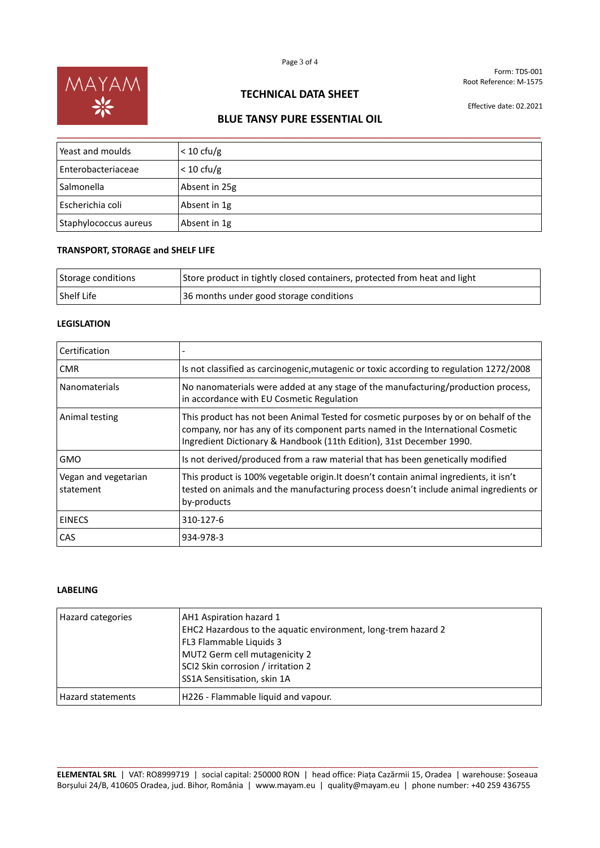

# **TECHNICAL DATA SHEET**

Effective date: 02.2021

# **BLUE TANSY PURE ESSENTIAL OIL**

| Yeast and moulds      | $< 10 \text{ cfu/g}$ |
|-----------------------|----------------------|
| Enterobacteriaceae    | $< 10 \text{ cfu/g}$ |
| l Salmonella          | Absent in 25g        |
| Escherichia coli      | Absent in 1g         |
| Staphylococcus aureus | Absent in 1g         |

## **TRANSPORT, STORAGE and SHELF LIFE**

| Storage conditions | Store product in tightly closed containers, protected from heat and light |
|--------------------|---------------------------------------------------------------------------|
| Shelf Life         | 36 months under good storage conditions                                   |

### **LEGISLATION**

| Certification                     |                                                                                                                                                                                                                                                 |
|-----------------------------------|-------------------------------------------------------------------------------------------------------------------------------------------------------------------------------------------------------------------------------------------------|
| <b>CMR</b>                        | Is not classified as carcinogenic, mutagenic or toxic according to regulation 1272/2008                                                                                                                                                         |
| <b>Nanomaterials</b>              | No nanomaterials were added at any stage of the manufacturing/production process,<br>in accordance with EU Cosmetic Regulation                                                                                                                  |
| Animal testing                    | This product has not been Animal Tested for cosmetic purposes by or on behalf of the<br>company, nor has any of its component parts named in the International Cosmetic<br>Ingredient Dictionary & Handbook (11th Edition), 31st December 1990. |
| <b>GMO</b>                        | Is not derived/produced from a raw material that has been genetically modified                                                                                                                                                                  |
| Vegan and vegetarian<br>statement | This product is 100% vegetable origin. It doesn't contain animal ingredients, it isn't<br>tested on animals and the manufacturing process doesn't include animal ingredients or<br>by-products                                                  |
| <b>EINECS</b>                     | 310-127-6                                                                                                                                                                                                                                       |
| <b>CAS</b>                        | 934-978-3                                                                                                                                                                                                                                       |

## **LABELING**

| Hazard categories        | AH1 Aspiration hazard 1<br>EHC2 Hazardous to the aquatic environment, long-trem hazard 2<br>FL3 Flammable Liquids 3<br>MUT2 Germ cell mutagenicity 2<br>SCI2 Skin corrosion / irritation 2<br>SS1A Sensitisation, skin 1A |
|--------------------------|---------------------------------------------------------------------------------------------------------------------------------------------------------------------------------------------------------------------------|
| <b>Hazard statements</b> | H226 - Flammable liquid and vapour.                                                                                                                                                                                       |